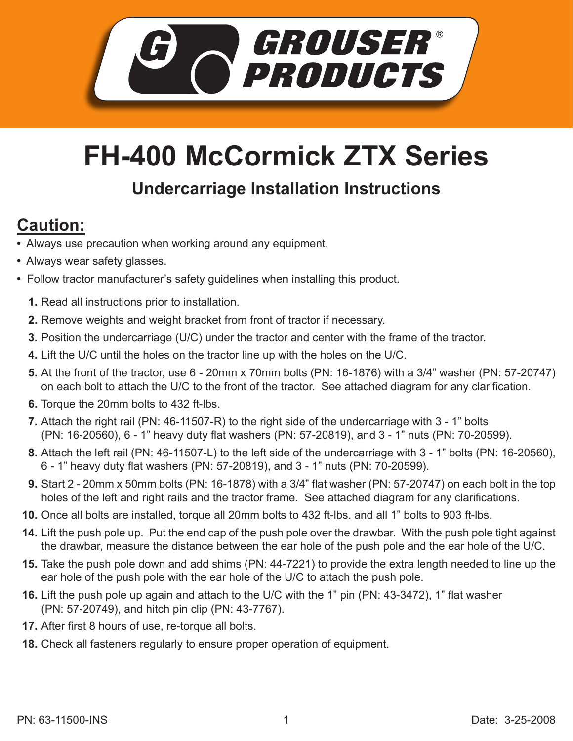

## **FH-400 McCormick ZTX Series**

## **Undercarriage Installation Instructions**

## **Caution:**

- Always use precaution when working around any equipment.
- Always wear safety glasses.
- Follow tractor manufacturer's safety guidelines when installing this product.
	- **1.** Read all instructions prior to installation.
	- 2. Remove weights and weight bracket from front of tractor if necessary.
	- **3.** Position the undercarriage (U/C) under the tractor and center with the frame of the tractor.
	- Lift the U/C until the holes on the tractor line up with the holes on the U/C. **4.**
	- **5.** At the front of the tractor, use 6 20mm x 70mm bolts (PN: 16-1876) with a 3/4" washer (PN: 57-20747) on each bolt to attach the U/C to the front of the tractor. See attached diagram for any clarification.
	- **6.** Torque the 20mm bolts to 432 ft-lbs.
	- Attach the right rail (PN: 46-11507-R) to the right side of the undercarriage with 3 1" bolts **7.** (PN: 16-20560), 6 - 1" heavy duty flat washers (PN: 57-20819), and 3 - 1" nuts (PN: 70-20599).
	- Attach the left rail (PN: 46-11507-L) to the left side of the undercarriage with 3 1" bolts (PN: 16-20560), **8.** 6 - 1" heavy duty flat washers (PN: 57-20819), and 3 - 1" nuts (PN: 70-20599).
	- Start 2 20mm x 50mm bolts (PN: 16-1878) with a 3/4" flat washer (PN: 57-20747) on each bolt in the top **9.** holes of the left and right rails and the tractor frame. See attached diagram for any clarifications.
	- **10.** Once all bolts are installed, torque all 20mm bolts to 432 ft-lbs. and all 1" bolts to 903 ft-lbs.
	- 14. Lift the push pole up. Put the end cap of the push pole over the drawbar. With the push pole tight against the drawbar, measure the distance between the ear hole of the push pole and the ear hole of the U/C.
	- Take the push pole down and add shims (PN: 44-7221) to provide the extra length needed to line up the **15.** ear hole of the push pole with the ear hole of the U/C to attach the push pole.
	- **16.** Lift the push pole up again and attach to the U/C with the 1" pin (PN: 43-3472), 1" flat washer (PN: 57-20749), and hitch pin clip (PN: 43-7767).
- **17.** After first 8 hours of use, re-torque all bolts.
- Check all fasteners regularly to ensure proper operation of equipment. **18.**